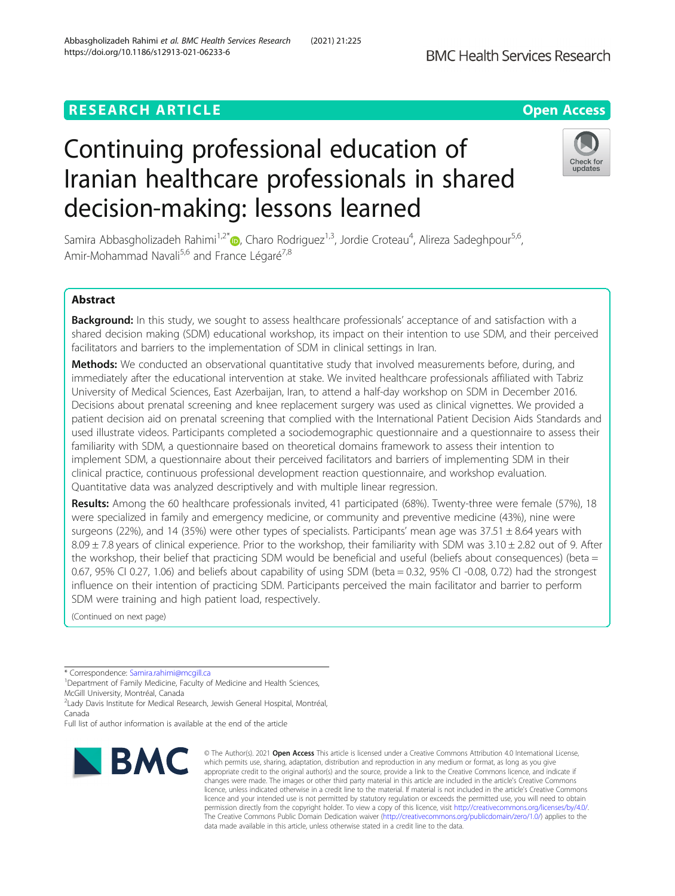# **RESEARCH ARTICLE Example 2014 12:30 The Contract of Contract ACCESS**

# Continuing professional education of Iranian healthcare professionals in shared decision-making: lessons learned

Samira Abbasgholizadeh Rahimi<sup>1[,](http://orcid.org/0000-0003-3781-1360)2\*</sup>®, Charo Rodriguez<sup>1,3</sup>, Jordie Croteau<sup>4</sup>, Alireza Sadeghpour<sup>5,6</sup>, Amir-Mohammad Navali<sup>5,6</sup> and France Légaré<sup>7,8</sup>

# Abstract

Background: In this study, we sought to assess healthcare professionals' acceptance of and satisfaction with a shared decision making (SDM) educational workshop, its impact on their intention to use SDM, and their perceived facilitators and barriers to the implementation of SDM in clinical settings in Iran.

Methods: We conducted an observational quantitative study that involved measurements before, during, and immediately after the educational intervention at stake. We invited healthcare professionals affiliated with Tabriz University of Medical Sciences, East Azerbaijan, Iran, to attend a half-day workshop on SDM in December 2016. Decisions about prenatal screening and knee replacement surgery was used as clinical vignettes. We provided a patient decision aid on prenatal screening that complied with the International Patient Decision Aids Standards and used illustrate videos. Participants completed a sociodemographic questionnaire and a questionnaire to assess their familiarity with SDM, a questionnaire based on theoretical domains framework to assess their intention to implement SDM, a questionnaire about their perceived facilitators and barriers of implementing SDM in their clinical practice, continuous professional development reaction questionnaire, and workshop evaluation. Quantitative data was analyzed descriptively and with multiple linear regression.

Results: Among the 60 healthcare professionals invited, 41 participated (68%). Twenty-three were female (57%), 18 were specialized in family and emergency medicine, or community and preventive medicine (43%), nine were surgeons (22%), and 14 (35%) were other types of specialists. Participants' mean age was  $37.51 \pm 8.64$  years with  $8.09 \pm 7.8$  years of clinical experience. Prior to the workshop, their familiarity with SDM was  $3.10 \pm 2.82$  out of 9. After the workshop, their belief that practicing SDM would be beneficial and useful (beliefs about consequences) (beta = 0.67, 95% CI 0.27, 1.06) and beliefs about capability of using SDM (beta = 0.32, 95% CI -0.08, 0.72) had the strongest influence on their intention of practicing SDM. Participants perceived the main facilitator and barrier to perform SDM were training and high patient load, respectively.

(Continued on next page)

\* Correspondence: [Samira.rahimi@mcgill.ca](mailto:Samira.rahimi@mcgill.ca) <sup>1</sup>

**BMC** 

<sup>1</sup> Department of Family Medicine, Faculty of Medicine and Health Sciences, McGill University, Montréal, Canada

2 Lady Davis Institute for Medical Research, Jewish General Hospital, Montréal, Canada

Full list of author information is available at the end of the article



© The Author(s), 2021 **Open Access** This article is licensed under a Creative Commons Attribution 4.0 International License, which permits use, sharing, adaptation, distribution and reproduction in any medium or format, as long as you give



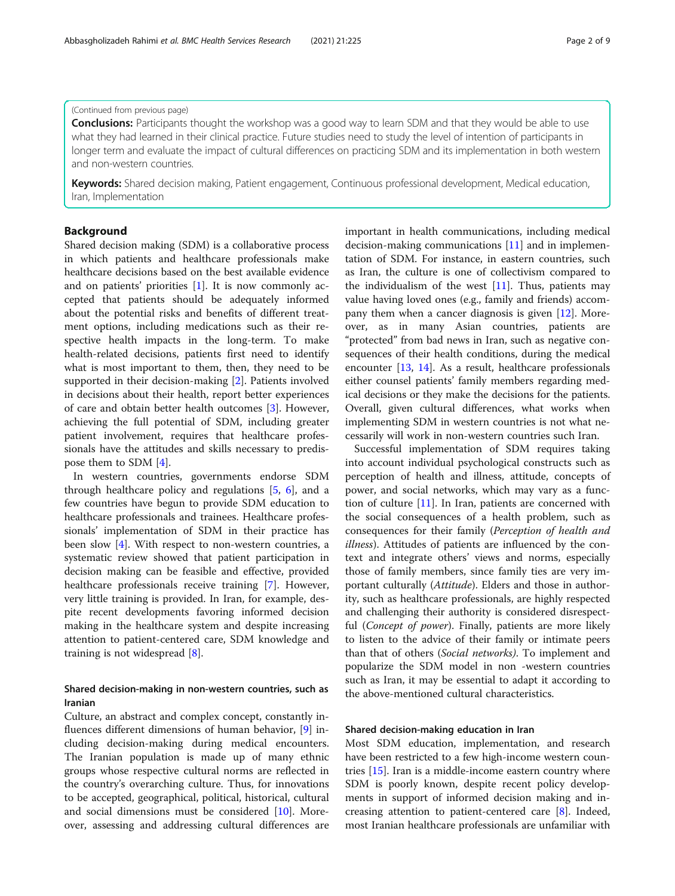# (Continued from previous page)

**Conclusions:** Participants thought the workshop was a good way to learn SDM and that they would be able to use what they had learned in their clinical practice. Future studies need to study the level of intention of participants in longer term and evaluate the impact of cultural differences on practicing SDM and its implementation in both western and non-western countries.

Keywords: Shared decision making, Patient engagement, Continuous professional development, Medical education, Iran, Implementation

#### Background

Shared decision making (SDM) is a collaborative process in which patients and healthcare professionals make healthcare decisions based on the best available evidence and on patients' priorities [\[1](#page-7-0)]. It is now commonly accepted that patients should be adequately informed about the potential risks and benefits of different treatment options, including medications such as their respective health impacts in the long-term. To make health-related decisions, patients first need to identify what is most important to them, then, they need to be supported in their decision-making [\[2](#page-7-0)]. Patients involved in decisions about their health, report better experiences of care and obtain better health outcomes [\[3](#page-7-0)]. However, achieving the full potential of SDM, including greater patient involvement, requires that healthcare professionals have the attitudes and skills necessary to predispose them to SDM [[4\]](#page-7-0).

In western countries, governments endorse SDM through healthcare policy and regulations [[5,](#page-7-0) [6](#page-7-0)], and a few countries have begun to provide SDM education to healthcare professionals and trainees. Healthcare professionals' implementation of SDM in their practice has been slow [[4\]](#page-7-0). With respect to non-western countries, a systematic review showed that patient participation in decision making can be feasible and effective, provided healthcare professionals receive training [\[7](#page-7-0)]. However, very little training is provided. In Iran, for example, despite recent developments favoring informed decision making in the healthcare system and despite increasing attention to patient-centered care, SDM knowledge and training is not widespread [\[8](#page-7-0)].

# Shared decision-making in non-western countries, such as Iranian

Culture, an abstract and complex concept, constantly influences different dimensions of human behavior, [[9\]](#page-7-0) including decision-making during medical encounters. The Iranian population is made up of many ethnic groups whose respective cultural norms are reflected in the country's overarching culture. Thus, for innovations to be accepted, geographical, political, historical, cultural and social dimensions must be considered  $[10]$ . Moreover, assessing and addressing cultural differences are important in health communications, including medical decision-making communications [\[11\]](#page-7-0) and in implementation of SDM. For instance, in eastern countries, such as Iran, the culture is one of collectivism compared to the individualism of the west  $[11]$  $[11]$ . Thus, patients may value having loved ones (e.g., family and friends) accompany them when a cancer diagnosis is given [\[12\]](#page-7-0). Moreover, as in many Asian countries, patients are "protected" from bad news in Iran, such as negative consequences of their health conditions, during the medical encounter [\[13,](#page-7-0) [14\]](#page-7-0). As a result, healthcare professionals either counsel patients' family members regarding medical decisions or they make the decisions for the patients. Overall, given cultural differences, what works when implementing SDM in western countries is not what necessarily will work in non-western countries such Iran.

Successful implementation of SDM requires taking into account individual psychological constructs such as perception of health and illness, attitude, concepts of power, and social networks, which may vary as a function of culture [[11\]](#page-7-0). In Iran, patients are concerned with the social consequences of a health problem, such as consequences for their family (Perception of health and illness). Attitudes of patients are influenced by the context and integrate others' views and norms, especially those of family members, since family ties are very important culturally (Attitude). Elders and those in authority, such as healthcare professionals, are highly respected and challenging their authority is considered disrespectful (Concept of power). Finally, patients are more likely to listen to the advice of their family or intimate peers than that of others (Social networks). To implement and popularize the SDM model in non -western countries such as Iran, it may be essential to adapt it according to the above-mentioned cultural characteristics.

# Shared decision-making education in Iran

Most SDM education, implementation, and research have been restricted to a few high-income western countries [\[15](#page-7-0)]. Iran is a middle-income eastern country where SDM is poorly known, despite recent policy developments in support of informed decision making and increasing attention to patient-centered care [[8\]](#page-7-0). Indeed, most Iranian healthcare professionals are unfamiliar with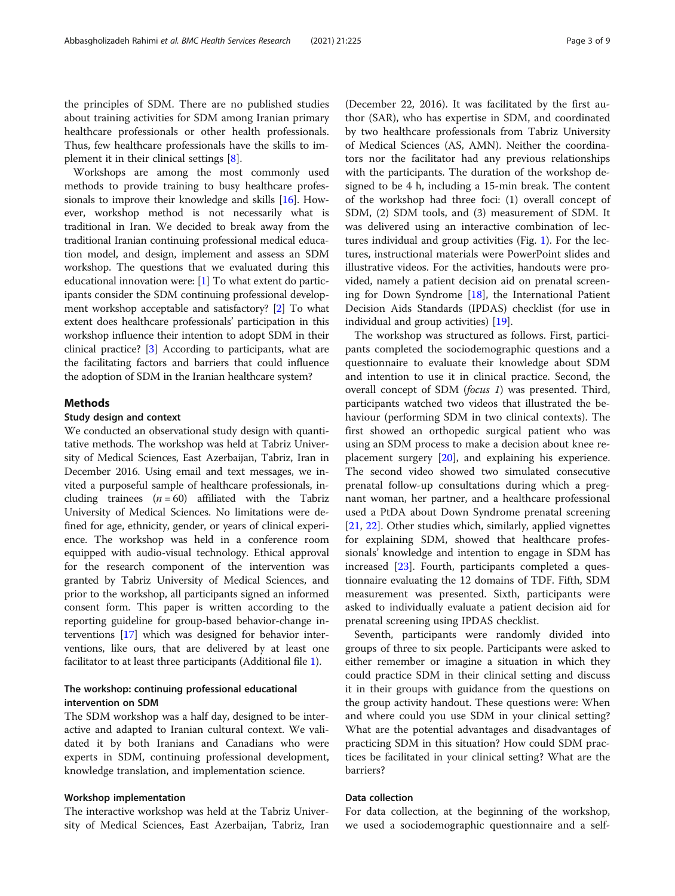the principles of SDM. There are no published studies about training activities for SDM among Iranian primary healthcare professionals or other health professionals. Thus, few healthcare professionals have the skills to implement it in their clinical settings [\[8](#page-7-0)].

Workshops are among the most commonly used methods to provide training to busy healthcare professionals to improve their knowledge and skills [\[16\]](#page-7-0). However, workshop method is not necessarily what is traditional in Iran. We decided to break away from the traditional Iranian continuing professional medical education model, and design, implement and assess an SDM workshop. The questions that we evaluated during this educational innovation were: [\[1](#page-7-0)] To what extent do participants consider the SDM continuing professional development workshop acceptable and satisfactory? [[2\]](#page-7-0) To what extent does healthcare professionals' participation in this workshop influence their intention to adopt SDM in their clinical practice? [\[3](#page-7-0)] According to participants, what are the facilitating factors and barriers that could influence the adoption of SDM in the Iranian healthcare system?

#### Methods

#### Study design and context

We conducted an observational study design with quantitative methods. The workshop was held at Tabriz University of Medical Sciences, East Azerbaijan, Tabriz, Iran in December 2016. Using email and text messages, we invited a purposeful sample of healthcare professionals, including trainees  $(n = 60)$  affiliated with the Tabriz University of Medical Sciences. No limitations were defined for age, ethnicity, gender, or years of clinical experience. The workshop was held in a conference room equipped with audio-visual technology. Ethical approval for the research component of the intervention was granted by Tabriz University of Medical Sciences, and prior to the workshop, all participants signed an informed consent form. This paper is written according to the reporting guideline for group-based behavior-change interventions [\[17\]](#page-7-0) which was designed for behavior interventions, like ours, that are delivered by at least one facilitator to at least three participants (Additional file [1\)](#page-7-0).

# The workshop: continuing professional educational intervention on SDM

The SDM workshop was a half day, designed to be interactive and adapted to Iranian cultural context. We validated it by both Iranians and Canadians who were experts in SDM, continuing professional development, knowledge translation, and implementation science.

#### Workshop implementation

The interactive workshop was held at the Tabriz University of Medical Sciences, East Azerbaijan, Tabriz, Iran

(December 22, 2016). It was facilitated by the first author (SAR), who has expertise in SDM, and coordinated by two healthcare professionals from Tabriz University of Medical Sciences (AS, AMN). Neither the coordinators nor the facilitator had any previous relationships with the participants. The duration of the workshop designed to be 4 h, including a 15-min break. The content of the workshop had three foci: (1) overall concept of SDM, (2) SDM tools, and (3) measurement of SDM. It was delivered using an interactive combination of lectures individual and group activities (Fig. [1\)](#page-3-0). For the lectures, instructional materials were PowerPoint slides and illustrative videos. For the activities, handouts were provided, namely a patient decision aid on prenatal screening for Down Syndrome  $[18]$  $[18]$ , the International Patient Decision Aids Standards (IPDAS) checklist (for use in individual and group activities) [[19](#page-7-0)].

The workshop was structured as follows. First, participants completed the sociodemographic questions and a questionnaire to evaluate their knowledge about SDM and intention to use it in clinical practice. Second, the overall concept of SDM (focus 1) was presented. Third, participants watched two videos that illustrated the behaviour (performing SDM in two clinical contexts). The first showed an orthopedic surgical patient who was using an SDM process to make a decision about knee replacement surgery [[20](#page-7-0)], and explaining his experience. The second video showed two simulated consecutive prenatal follow-up consultations during which a pregnant woman, her partner, and a healthcare professional used a PtDA about Down Syndrome prenatal screening [[21,](#page-7-0) [22\]](#page-7-0). Other studies which, similarly, applied vignettes for explaining SDM, showed that healthcare professionals' knowledge and intention to engage in SDM has increased [\[23\]](#page-7-0). Fourth, participants completed a questionnaire evaluating the 12 domains of TDF. Fifth, SDM measurement was presented. Sixth, participants were asked to individually evaluate a patient decision aid for prenatal screening using IPDAS checklist.

Seventh, participants were randomly divided into groups of three to six people. Participants were asked to either remember or imagine a situation in which they could practice SDM in their clinical setting and discuss it in their groups with guidance from the questions on the group activity handout. These questions were: When and where could you use SDM in your clinical setting? What are the potential advantages and disadvantages of practicing SDM in this situation? How could SDM practices be facilitated in your clinical setting? What are the barriers?

# Data collection

For data collection, at the beginning of the workshop, we used a sociodemographic questionnaire and a self-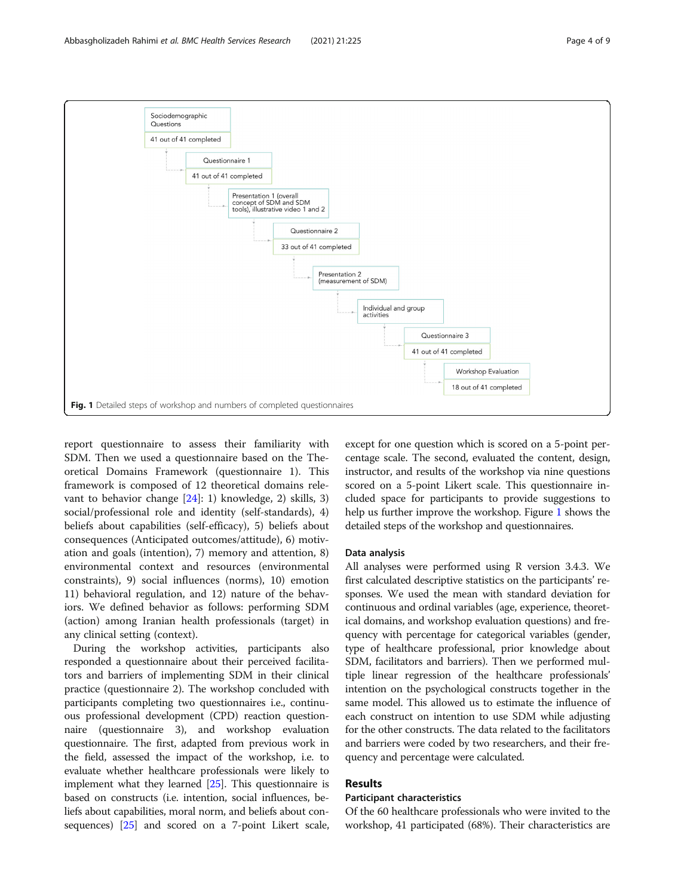<span id="page-3-0"></span>

report questionnaire to assess their familiarity with SDM. Then we used a questionnaire based on the Theoretical Domains Framework (questionnaire 1). This framework is composed of 12 theoretical domains relevant to behavior change [\[24](#page-8-0)]: 1) knowledge, 2) skills, 3) social/professional role and identity (self-standards), 4) beliefs about capabilities (self-efficacy), 5) beliefs about consequences (Anticipated outcomes/attitude), 6) motivation and goals (intention), 7) memory and attention, 8) environmental context and resources (environmental constraints), 9) social influences (norms), 10) emotion 11) behavioral regulation, and 12) nature of the behaviors. We defined behavior as follows: performing SDM (action) among Iranian health professionals (target) in any clinical setting (context).

During the workshop activities, participants also responded a questionnaire about their perceived facilitators and barriers of implementing SDM in their clinical practice (questionnaire 2). The workshop concluded with participants completing two questionnaires i.e., continuous professional development (CPD) reaction questionnaire (questionnaire 3), and workshop evaluation questionnaire. The first, adapted from previous work in the field, assessed the impact of the workshop, i.e. to evaluate whether healthcare professionals were likely to implement what they learned [\[25\]](#page-8-0). This questionnaire is based on constructs (i.e. intention, social influences, beliefs about capabilities, moral norm, and beliefs about consequences) [[25](#page-8-0)] and scored on a 7-point Likert scale,

except for one question which is scored on a 5-point percentage scale. The second, evaluated the content, design, instructor, and results of the workshop via nine questions scored on a 5-point Likert scale. This questionnaire included space for participants to provide suggestions to help us further improve the workshop. Figure 1 shows the detailed steps of the workshop and questionnaires.

#### Data analysis

All analyses were performed using R version 3.4.3. We first calculated descriptive statistics on the participants' responses. We used the mean with standard deviation for continuous and ordinal variables (age, experience, theoretical domains, and workshop evaluation questions) and frequency with percentage for categorical variables (gender, type of healthcare professional, prior knowledge about SDM, facilitators and barriers). Then we performed multiple linear regression of the healthcare professionals' intention on the psychological constructs together in the same model. This allowed us to estimate the influence of each construct on intention to use SDM while adjusting for the other constructs. The data related to the facilitators and barriers were coded by two researchers, and their frequency and percentage were calculated.

# Results

# Participant characteristics

Of the 60 healthcare professionals who were invited to the workshop, 41 participated (68%). Their characteristics are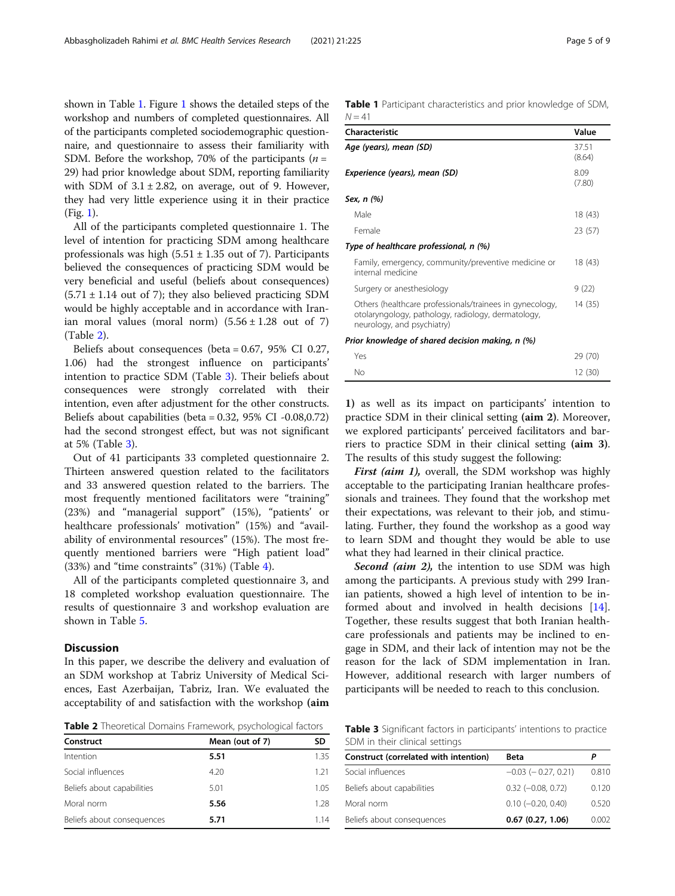shown in Table 1. Figure [1](#page-3-0) shows the detailed steps of the workshop and numbers of completed questionnaires. All of the participants completed sociodemographic questionnaire, and questionnaire to assess their familiarity with SDM. Before the workshop, 70% of the participants ( $n =$ 29) had prior knowledge about SDM, reporting familiarity with SDM of  $3.1 \pm 2.82$ , on average, out of 9. However, they had very little experience using it in their practice (Fig. [1](#page-3-0)).

All of the participants completed questionnaire 1. The level of intention for practicing SDM among healthcare professionals was high  $(5.51 \pm 1.35$  out of 7). Participants believed the consequences of practicing SDM would be very beneficial and useful (beliefs about consequences)  $(5.71 \pm 1.14$  out of 7); they also believed practicing SDM would be highly acceptable and in accordance with Iranian moral values (moral norm)  $(5.56 \pm 1.28$  out of 7) (Table 2).

Beliefs about consequences (beta = 0.67, 95% CI 0.27, 1.06) had the strongest influence on participants' intention to practice SDM (Table 3). Their beliefs about consequences were strongly correlated with their intention, even after adjustment for the other constructs. Beliefs about capabilities (beta =  $0.32$ ,  $95\%$  CI  $-0.08$ , $0.72$ ) had the second strongest effect, but was not significant at 5% (Table 3).

Out of 41 participants 33 completed questionnaire 2. Thirteen answered question related to the facilitators and 33 answered question related to the barriers. The most frequently mentioned facilitators were "training" (23%) and "managerial support" (15%), "patients' or healthcare professionals' motivation" (15%) and "availability of environmental resources" (15%). The most frequently mentioned barriers were "High patient load" (33%) and "time constraints" (31%) (Table [4\)](#page-5-0).

All of the participants completed questionnaire 3, and 18 completed workshop evaluation questionnaire. The results of questionnaire 3 and workshop evaluation are shown in Table [5.](#page-6-0)

### **Discussion**

In this paper, we describe the delivery and evaluation of an SDM workshop at Tabriz University of Medical Sciences, East Azerbaijan, Tabriz, Iran. We evaluated the acceptability of and satisfaction with the workshop (aim

Table 2 Theoretical Domains Framework, psychological factors

| Construct                  | Mean (out of 7) | SD   |
|----------------------------|-----------------|------|
| Intention                  | 5.51            | 1.35 |
| Social influences          | 4.20            | 1.21 |
| Beliefs about capabilities | 5.01            | 1.05 |
| Moral norm                 | 5.56            | 1.28 |
| Beliefs about consequences | 5.71            | 1.14 |

Table 1 Participant characteristics and prior knowledge of SDM,  $N = 41$ 

| Characteristic                                                                                                                               | Value           |
|----------------------------------------------------------------------------------------------------------------------------------------------|-----------------|
| Age (years), mean (SD)                                                                                                                       | 37.51<br>(8.64) |
| Experience (years), mean (SD)                                                                                                                | 8.09<br>(7.80)  |
| Sex, n (%)                                                                                                                                   |                 |
| Male                                                                                                                                         | 18 (43)         |
| Female                                                                                                                                       | 23 (57)         |
| Type of healthcare professional, n (%)                                                                                                       |                 |
| Family, emergency, community/preventive medicine or<br>internal medicine                                                                     | 18 (43)         |
| Surgery or anesthesiology                                                                                                                    | 9 (22)          |
| Others (healthcare professionals/trainees in gynecology,<br>otolaryngology, pathology, radiology, dermatology,<br>neurology, and psychiatry) | 14 (35)         |
| Prior knowledge of shared decision making, n (%)                                                                                             |                 |
| Yes                                                                                                                                          | 29 (/0)         |

1) as well as its impact on participants' intention to practice SDM in their clinical setting (aim 2). Moreover, we explored participants' perceived facilitators and barriers to practice SDM in their clinical setting (aim 3). The results of this study suggest the following:

No 12 (30)

First (aim 1), overall, the SDM workshop was highly acceptable to the participating Iranian healthcare professionals and trainees. They found that the workshop met their expectations, was relevant to their job, and stimulating. Further, they found the workshop as a good way to learn SDM and thought they would be able to use what they had learned in their clinical practice.

Second (aim 2), the intention to use SDM was high among the participants. A previous study with 299 Iranian patients, showed a high level of intention to be informed about and involved in health decisions [\[14](#page-7-0)]. Together, these results suggest that both Iranian healthcare professionals and patients may be inclined to engage in SDM, and their lack of intention may not be the reason for the lack of SDM implementation in Iran. However, additional research with larger numbers of participants will be needed to reach to this conclusion.

Table 3 Significant factors in participants' intentions to practice SDM in their clinical settings

| Construct (correlated with intention)<br><b>Beta</b><br>P<br>Social influences<br>$-0.03$ ( $-0.27, 0.21$ )<br>$0.32$ ( $-0.08$ , $0.72$ )<br>Beliefs about capabilities<br>$0.10$ $(-0.20, 0.40)$<br>Moral norm |  |       |
|------------------------------------------------------------------------------------------------------------------------------------------------------------------------------------------------------------------|--|-------|
|                                                                                                                                                                                                                  |  |       |
|                                                                                                                                                                                                                  |  | 0.810 |
|                                                                                                                                                                                                                  |  | 0.120 |
|                                                                                                                                                                                                                  |  | 0.520 |
| 0.67(0.27, 1.06)<br>Beliefs about consequences                                                                                                                                                                   |  | 0.002 |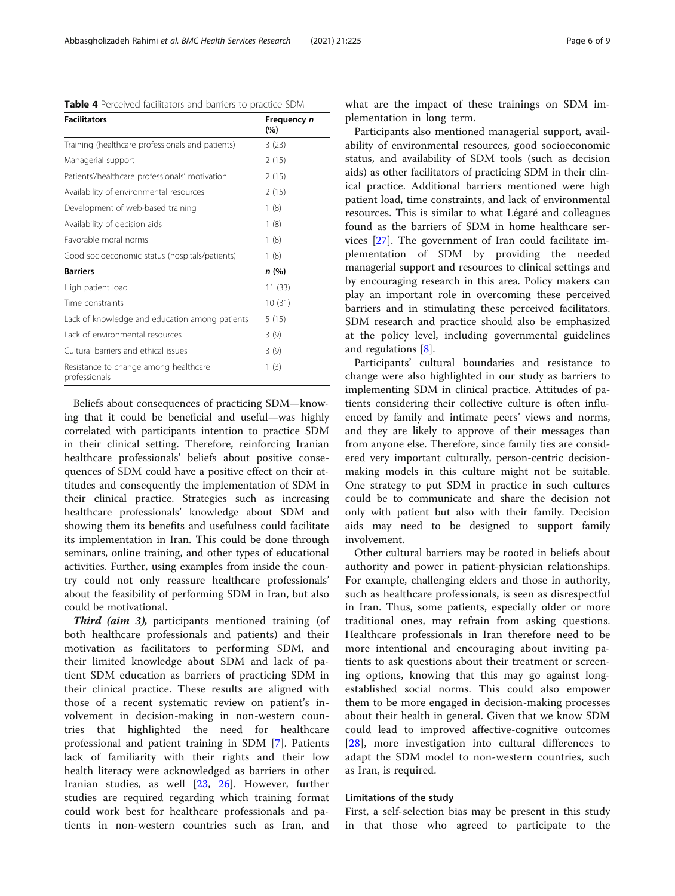<span id="page-5-0"></span>Table 4 Perceived facilitators and barriers to practice SDM

| <b>Facilitators</b>                                    | Frequency n<br>(%) |
|--------------------------------------------------------|--------------------|
| Training (healthcare professionals and patients)       | 3(23)              |
| Managerial support                                     | 2(15)              |
| Patients'/healthcare professionals' motivation         | 2(15)              |
| Availability of environmental resources                | 2(15)              |
| Development of web-based training                      | 1(8)               |
| Availability of decision aids                          | 1(8)               |
| Favorable moral norms                                  | 1(8)               |
| Good socioeconomic status (hospitals/patients)         | 1(8)               |
| <b>Barriers</b>                                        | n (%)              |
| High patient load                                      | 11 (33)            |
| Time constraints                                       | 10(31)             |
| Lack of knowledge and education among patients         | 5(15)              |
| Lack of environmental resources                        | 3(9)               |
| Cultural barriers and ethical issues                   | 3(9)               |
| Resistance to change among healthcare<br>professionals | 1(3)               |

Beliefs about consequences of practicing SDM—knowing that it could be beneficial and useful—was highly correlated with participants intention to practice SDM in their clinical setting. Therefore, reinforcing Iranian healthcare professionals' beliefs about positive consequences of SDM could have a positive effect on their attitudes and consequently the implementation of SDM in their clinical practice. Strategies such as increasing healthcare professionals' knowledge about SDM and showing them its benefits and usefulness could facilitate its implementation in Iran. This could be done through seminars, online training, and other types of educational activities. Further, using examples from inside the country could not only reassure healthcare professionals' about the feasibility of performing SDM in Iran, but also could be motivational.

Third (aim 3), participants mentioned training (of both healthcare professionals and patients) and their motivation as facilitators to performing SDM, and their limited knowledge about SDM and lack of patient SDM education as barriers of practicing SDM in their clinical practice. These results are aligned with those of a recent systematic review on patient's involvement in decision-making in non-western countries that highlighted the need for healthcare professional and patient training in SDM [[7\]](#page-7-0). Patients lack of familiarity with their rights and their low health literacy were acknowledged as barriers in other Iranian studies, as well [[23,](#page-7-0) [26\]](#page-8-0). However, further studies are required regarding which training format could work best for healthcare professionals and patients in non-western countries such as Iran, and

Participants also mentioned managerial support, availability of environmental resources, good socioeconomic status, and availability of SDM tools (such as decision aids) as other facilitators of practicing SDM in their clinical practice. Additional barriers mentioned were high patient load, time constraints, and lack of environmental resources. This is similar to what Légaré and colleagues found as the barriers of SDM in home healthcare services [[27\]](#page-8-0). The government of Iran could facilitate implementation of SDM by providing the needed managerial support and resources to clinical settings and by encouraging research in this area. Policy makers can play an important role in overcoming these perceived barriers and in stimulating these perceived facilitators. SDM research and practice should also be emphasized at the policy level, including governmental guidelines and regulations [[8\]](#page-7-0).

Participants' cultural boundaries and resistance to change were also highlighted in our study as barriers to implementing SDM in clinical practice. Attitudes of patients considering their collective culture is often influenced by family and intimate peers' views and norms, and they are likely to approve of their messages than from anyone else. Therefore, since family ties are considered very important culturally, person-centric decisionmaking models in this culture might not be suitable. One strategy to put SDM in practice in such cultures could be to communicate and share the decision not only with patient but also with their family. Decision aids may need to be designed to support family involvement.

Other cultural barriers may be rooted in beliefs about authority and power in patient-physician relationships. For example, challenging elders and those in authority, such as healthcare professionals, is seen as disrespectful in Iran. Thus, some patients, especially older or more traditional ones, may refrain from asking questions. Healthcare professionals in Iran therefore need to be more intentional and encouraging about inviting patients to ask questions about their treatment or screening options, knowing that this may go against longestablished social norms. This could also empower them to be more engaged in decision-making processes about their health in general. Given that we know SDM could lead to improved affective-cognitive outcomes [[28\]](#page-8-0), more investigation into cultural differences to adapt the SDM model to non-western countries, such as Iran, is required.

#### Limitations of the study

First, a self-selection bias may be present in this study in that those who agreed to participate to the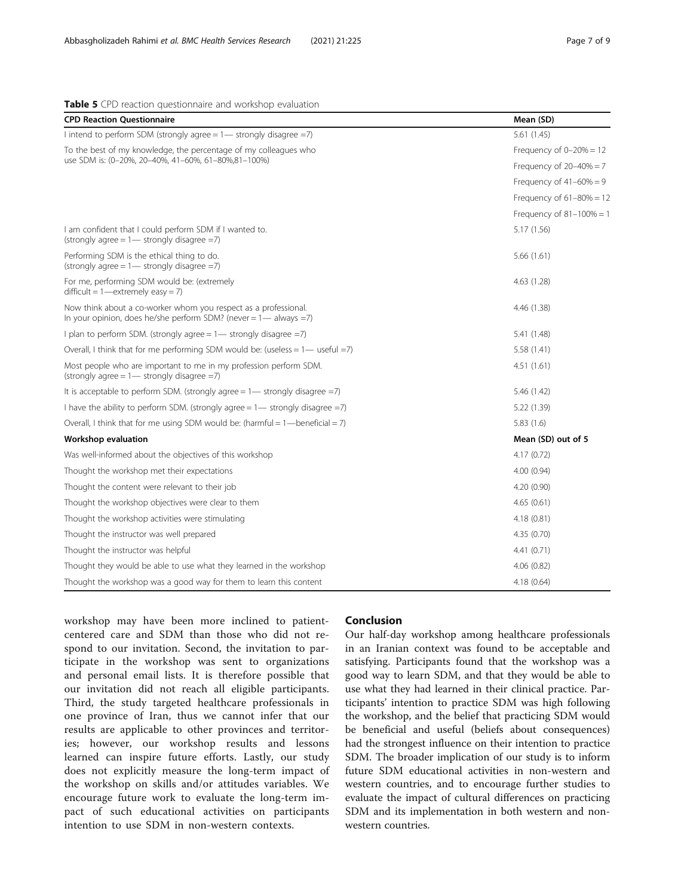# CPD Reaction Questionnaire Mean (SD) I intend to perform SDM (strongly agree = 1— strongly disagree =7) 5.61 (1.45) To the best of my knowledge, the percentage of my colleagues who use SDM is: (0–20%, 20–40%, 41–60%, 61–80%,81–100%) Frequency of  $0-20% = 12$ Frequency of  $20-40% = 7$ Frequency of  $41-60% = 9$ Frequency of  $61-80% = 12$ Frequency of  $81-100\% = 1$ I am confident that I could perform SDM if I wanted to. (strongly agree  $= 1$  - strongly disagree  $= 7$ ) 5.17 (1.56) Performing SDM is the ethical thing to do. (strongly agree  $= 1$ — strongly disagree  $= 7$ ) 5.66 (1.61) For me, performing SDM would be: (extremely  $difficult = 1$ —extremely easy = 7) 4.63 (1.28) Now think about a co-worker whom you respect as a professional. In your opinion, does he/she perform SDM? (never  $= 1$ — always  $= 7$ ) 4.46 (1.38) I plan to perform SDM. (strongly agree = 1— strongly disagree =7) 5.41 (1.48) Overall, I think that for me performing SDM would be: (useless  $= 1$ — useful  $= 7$ ) 5.58 (1.41) Most people who are important to me in my profession perform SDM. (strongly agree  $= 1$ — strongly disagree  $= 7$ ) 4.51 (1.61) It is acceptable to perform SDM. (strongly agree = 1— strongly disagree =7) 5.46 (1.42) I have the ability to perform SDM. (strongly agree = 1— strongly disagree =7) 5.22 (1.39) Overall, I think that for me using SDM would be: (harmful = 1—beneficial = 7) 5.83 (1.6) Morkshop evaluation and the set of 5 and 10 mean (SD) out of 5 and 10 mean (SD) out of 5 Was well-informed about the objectives of this workshop 4.17 (0.72) 4.17 (0.72) Thought the workshop met their expectations and their expectations and the state of the state of the 4.00 (0.94) Thought the content were relevant to their job 4.20 (0.90) Thought the workshop objectives were clear to them  $4.65(0.61)$ Thought the workshop activities were stimulating and the stimulation of the stimulation of the stimulating and the stimulating and the stimulating and the stimulating and the stimulating and the stimulating and the stimula Thought the instructor was well prepared  $4.35(0.70)$ Thought the instructor was helpful 4.41 (0.71) 4.41 (0.71) Thought they would be able to use what they learned in the workshop 4.06 (0.82) Thought the workshop was a good way for them to learn this content 4.18 (0.64)

#### <span id="page-6-0"></span>Table 5 CPD reaction questionnaire and workshop evaluation

workshop may have been more inclined to patientcentered care and SDM than those who did not respond to our invitation. Second, the invitation to participate in the workshop was sent to organizations and personal email lists. It is therefore possible that our invitation did not reach all eligible participants. Third, the study targeted healthcare professionals in one province of Iran, thus we cannot infer that our results are applicable to other provinces and territories; however, our workshop results and lessons learned can inspire future efforts. Lastly, our study does not explicitly measure the long-term impact of the workshop on skills and/or attitudes variables. We encourage future work to evaluate the long-term impact of such educational activities on participants intention to use SDM in non-western contexts.

# Conclusion

Our half-day workshop among healthcare professionals in an Iranian context was found to be acceptable and satisfying. Participants found that the workshop was a good way to learn SDM, and that they would be able to use what they had learned in their clinical practice. Participants' intention to practice SDM was high following the workshop, and the belief that practicing SDM would be beneficial and useful (beliefs about consequences) had the strongest influence on their intention to practice SDM. The broader implication of our study is to inform future SDM educational activities in non-western and western countries, and to encourage further studies to evaluate the impact of cultural differences on practicing SDM and its implementation in both western and nonwestern countries.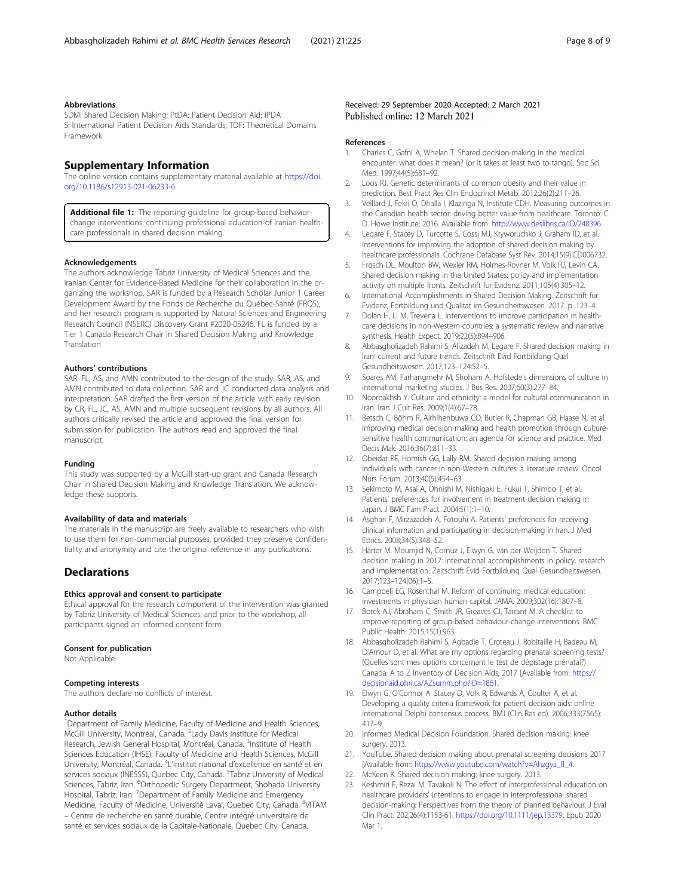#### <span id="page-7-0"></span>Abbreviations

SDM: Shared Decision Making; PtDA: Patient Decision Aid; IPDA S: International Patient Decision Aids Standards; TDF: Theoretical Domains Framework

# Supplementary Information

The online version contains supplementary material available at [https://doi.](https://doi.org/10.1186/s12913-021-06233-6) [org/10.1186/s12913-021-06233-6.](https://doi.org/10.1186/s12913-021-06233-6)

Additional file 1: The reporting quideline for group-based behaviorchange interventions: continuing professional education of Iranian healthcare professionals in shared decision making.

#### Acknowledgements

The authors acknowledge Tabriz University of Medical Sciences and the Iranian Center for Evidence-Based Medicine for their collaboration in the organizing the workshop. SAR is funded by a Research Scholar Junior 1 Career Development Award by the Fonds de Recherche du Québec-Santé (FRQS), and her research program is supported by Natural Sciences and Engineering Research Council (NSERC) Discovery Grant #2020-05246. FL is funded by a Tier 1 Canada Research Chair in Shared Decision Making and Knowledge Translation

#### Authors' contributions

SAR, FL, AS, and AMN contributed to the design of the study. SAR, AS, and AMN contributed to data collection. SAR and JC conducted data analysis and interpretation. SAR drafted the first version of the article with early revision by CR, FL, JC, AS, AMN and multiple subsequent revisions by all authors. All authors critically revised the article and approved the final version for submission for publication. The authors read and approved the final manuscript.

#### Funding

This study was supported by a McGill start-up grant and Canada Research Chair in Shared Decision Making and Knowledge Translation. We acknowledge these supports.

#### Availability of data and materials

The materials in the manuscript are freely available to researchers who wish to use them for non-commercial purposes, provided they preserve confidentiality and anonymity and cite the original reference in any publications.

# **Declarations**

#### Ethics approval and consent to participate

Ethical approval for the research component of the intervention was granted by Tabriz University of Medical Sciences, and prior to the workshop, all participants signed an informed consent form.

### Consent for publication

Not Applicable.

#### Competing interests

The authors declare no conflicts of interest.

#### Author details

<sup>1</sup>Department of Family Medicine, Faculty of Medicine and Health Sciences, McGill University, Montréal, Canada. <sup>2</sup> Lady Davis Institute for Medical Research, Jewish General Hospital, Montréal, Canada. <sup>3</sup>Institute of Health Sciences Education (IHSE), Faculty of Medicine and Health Sciences, McGill University, Montréal, Canada. <sup>4</sup> L'institut national d'excellence en santé et en services sociaux (INESSS), Quebec City, Canada. <sup>5</sup>Tabriz University of Medical Sciences, Tabriz, Iran. <sup>6</sup>Orthopedic Surgery Department, Shohada University Hospital, Tabriz, Iran. <sup>7</sup>Department of Family Medicine and Emergency<br>Medicine, Faculty of Medicine, Université Laval, Quebec City, Canada. <sup>8</sup>VITAM – Centre de recherche en santé durable, Centre intégré universitaire de santé et services sociaux de la Capitale-Nationale, Quebec City, Canada.

#### Received: 29 September 2020 Accepted: 2 March 2021 Published online: 12 March 2021

#### References

- 1. Charles C, Gafni A, Whelan T. Shared decision-making in the medical encounter: what does it mean? (or it takes at least two to tango). Soc Sci Med. 1997;44(5):681-92.
- 2. Loos RJ. Genetic determinants of common obesity and their value in prediction. Best Pract Res Clin Endocrinol Metab. 2012;26(2):211–26.
- 3. Veillard J, Fekri O, Dhalla I, Klazinga N, Institute CDH. Measuring outcomes in the Canadian health sector: driving better value from healthcare. Toronto: C. D. Howe Institute; 2016. Available from: <http://www.deslibris.ca/ID/248396>
- 4. Legare F, Stacey D, Turcotte S, Cossi MJ, Kryworuchko J, Graham ID, et al. Interventions for improving the adoption of shared decision making by healthcare professionals. Cochrane Database Syst Rev. 2014;15(9):CD006732.
- 5. Frosch DL, Moulton BW, Wexler RM, Holmes-Rovner M, Volk RJ, Levin CA. Shared decision making in the United States: policy and implementation activity on multiple fronts. Zeitschrift fur Evidenz. 2011;105(4):305–12.
- International Accomplishments in Shared Decision Making. Zeitschrift fur Evidenz, Fortbildung und Qualitat im Gesundheitswesen. 2017. p. 123–4.
- Dolan H, Li M, Trevena L. Interventions to improve participation in healthcare decisions in non-Western countries: a systematic review and narrative synthesis. Health Expect. 2019;22(5):894–906.
- 8. Abbasgholizadeh Rahimi S, Alizadeh M, Legare F. Shared decision making in Iran: current and future trends. Zeitschrift Evid Fortbildung Qual Gesundheitswesen. 2017;123–124:52–5.
- 9. Soares AM, Farhangmehr M, Shoham A. Hofstede's dimensions of culture in international marketing studies. J Bus Res. 2007;60(3):277–84.
- 10. Noorbakhsh Y. Culture and ethnicity: a model for cultural communication in Iran. Iran J Cult Res. 2009;1(4):67–78.
- 11. Betsch C, Böhm R, Airhihenbuwa CO, Butler R, Chapman GB, Haase N, et al. Improving medical decision making and health promotion through culturesensitive health communication: an agenda for science and practice. Med Decis Mak. 2016;36(7):811–33.
- 12. Obeidat RF, Homish GG, Lally RM. Shared decision making among individuals with cancer in non-Western cultures: a literature review. Oncol Nurs Forum. 2013;40(5):454–63.
- 13. Sekimoto M, Asai A, Ohnishi M, Nishigaki E, Fukui T, Shimbo T, et al. Patients' preferences for involvement in treatment decision making in Japan. J BMC Fam Pract. 2004;5(1):1–10.
- 14. Asghari F, Mirzazadeh A, Fotouhi A. Patients' preferences for receiving clinical information and participating in decision-making in Iran. J Med Ethics. 2008;34(5):348–52.
- 15. Härter M, Moumjid N, Cornuz J, Elwyn G, van der Weijden T. Shared decision making in 2017: international accomplishments in policy, research and implementation. Zeitschrift Evid Fortbildung Qual Gesundheitswesen. 2017;123–124(06):1–5.
- 16. Campbell EG, Rosenthal M. Reform of continuing medical education: investments in physician human capital. JAMA. 2009;302(16):1807–8.
- 17. Borek AJ, Abraham C, Smith JR, Greaves CJ, Tarrant M. A checklist to improve reporting of group-based behaviour-change interventions. BMC Public Health. 2015;15(1):963.
- 18. Abbasgholizadeh Rahimi S, Agbadje T, Croteau J, Robitaille H, Badeau M, D'Amour D, et al. What are my options regarding prenatal screening tests? (Quelles sont mes options concernant le test de dépistage prénatal?) Canada: A to Z Inventory of Decision Aids; 2017 [Available from: [https://](https://decisionaid.ohri.ca/AZsumm.php?ID=1861) [decisionaid.ohri.ca/AZsumm.php?ID=1861](https://decisionaid.ohri.ca/AZsumm.php?ID=1861).
- 19. Elwyn G, O'Connor A, Stacey D, Volk R, Edwards A, Coulter A, et al. Developing a quality criteria framework for patient decision aids: online international Delphi consensus process. BMJ (Clin Res ed). 2006;333(7565): 417–9.
- 20. Informed Medical Decision Foundation. Shared decision making: knee surgery. 2013.
- 21. YouTube. Shared decision making about prenatal screening decisions 2017 [Available from: [https://www.youtube.com/watch?v=Ahzgya\\_fI\\_4](https://www.youtube.com/watch?v=Ahzgya_fI_4).
- 22. McKeen K. Shared decision making: knee surgery. 2013.
- 23. Keshmiri F, Rezai M, Tavakoli N. The effect of interprofessional education on healthcare providers' intentions to engage in interprofessional shared decision-making: Perspectives from the theory of planned behaviour. J Eval Clin Pract. 202;26(4):1153-61. [https://doi.org/10.1111/jep.13379.](https://doi.org/10.1111/jep.13379) Epub 2020 Mar 1.